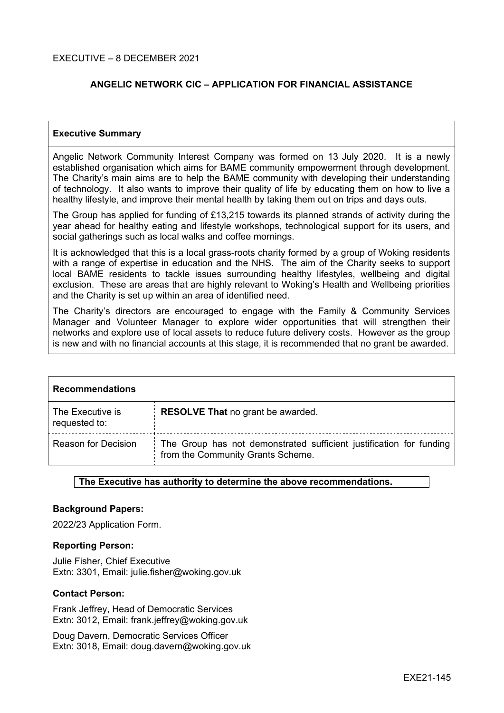#### EXECUTIVE – 8 DECEMBER 2021

### **ANGELIC NETWORK CIC – APPLICATION FOR FINANCIAL ASSISTANCE**

#### **Executive Summary**

Angelic Network Community Interest Company was formed on 13 July 2020. It is a newly established organisation which aims for BAME community empowerment through development. The Charity's main aims are to help the BAME community with developing their understanding of technology. It also wants to improve their quality of life by educating them on how to live a healthy lifestyle, and improve their mental health by taking them out on trips and days outs.

The Group has applied for funding of £13,215 towards its planned strands of activity during the year ahead for healthy eating and lifestyle workshops, technological support for its users, and social gatherings such as local walks and coffee mornings.

It is acknowledged that this is a local grass-roots charity formed by a group of Woking residents with a range of expertise in education and the NHS. The aim of the Charity seeks to support local BAME residents to tackle issues surrounding healthy lifestyles, wellbeing and digital exclusion. These are areas that are highly relevant to Woking's Health and Wellbeing priorities and the Charity is set up within an area of identified need.

The Charity's directors are encouraged to engage with the Family & Community Services Manager and Volunteer Manager to explore wider opportunities that will strengthen their networks and explore use of local assets to reduce future delivery costs. However as the group is new and with no financial accounts at this stage, it is recommended that no grant be awarded.

| <b>Recommendations</b>            |                                                                                                          |  |  |
|-----------------------------------|----------------------------------------------------------------------------------------------------------|--|--|
| The Executive is<br>requested to: | <b>RESOLVE That no grant be awarded.</b>                                                                 |  |  |
| <b>Reason for Decision</b>        | The Group has not demonstrated sufficient justification for funding<br>from the Community Grants Scheme. |  |  |

#### **The Executive has authority to determine the above recommendations.**

#### **Background Papers:**

2022/23 Application Form.

#### **Reporting Person:**

Julie Fisher, Chief Executive Extn: 3301, Email: julie.fisher@woking.gov.uk

#### **Contact Person:**

Frank Jeffrey, Head of Democratic Services Extn: 3012, Email: frank.jeffrey@woking.gov.uk

Doug Davern, Democratic Services Officer Extn: 3018, Email: doug.davern@woking.gov.uk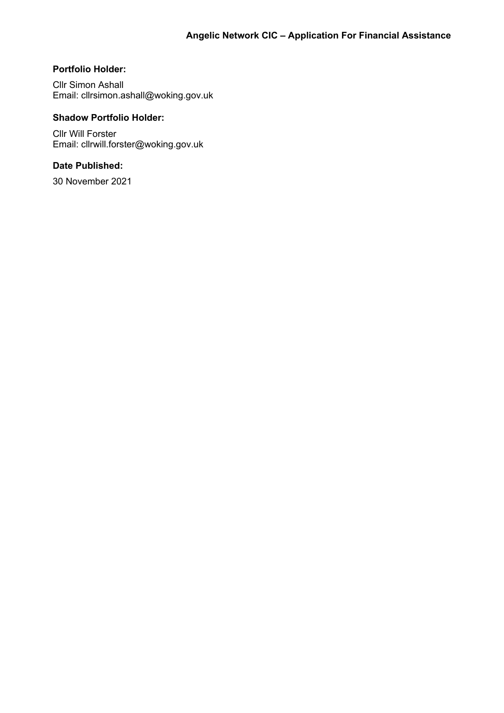## **Portfolio Holder:**

Cllr Simon Ashall Email: cllrsimon.ashall@woking.gov.uk

## **Shadow Portfolio Holder:**

Cllr Will Forster Email: cllrwill.forster@woking.gov.uk

## **Date Published:**

30 November 2021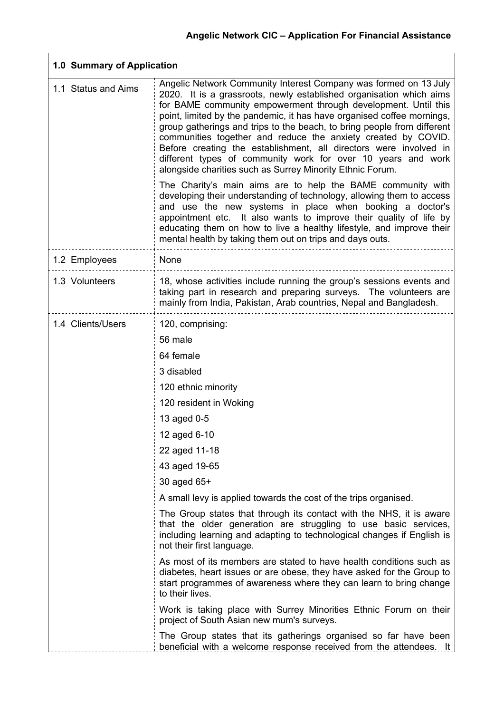| 1.0 Summary of Application |                                                                                                                                                                                                                                                                                                                                                                                                                                                                                                                                                                                                                                                                                                  |  |  |  |
|----------------------------|--------------------------------------------------------------------------------------------------------------------------------------------------------------------------------------------------------------------------------------------------------------------------------------------------------------------------------------------------------------------------------------------------------------------------------------------------------------------------------------------------------------------------------------------------------------------------------------------------------------------------------------------------------------------------------------------------|--|--|--|
| 1.1 Status and Aims        | Angelic Network Community Interest Company was formed on 13 July<br>2020. It is a grassroots, newly established organisation which aims<br>for BAME community empowerment through development. Until this<br>point, limited by the pandemic, it has have organised coffee mornings,<br>group gatherings and trips to the beach, to bring people from different<br>communities together and reduce the anxiety created by COVID.<br>Before creating the establishment, all directors were involved in<br>different types of community work for over 10 years and work<br>alongside charities such as Surrey Minority Ethnic Forum.<br>The Charity's main aims are to help the BAME community with |  |  |  |
|                            | developing their understanding of technology, allowing them to access<br>and use the new systems in place when booking a doctor's<br>appointment etc. It also wants to improve their quality of life by<br>educating them on how to live a healthy lifestyle, and improve their<br>mental health by taking them out on trips and days outs.                                                                                                                                                                                                                                                                                                                                                      |  |  |  |
| 1.2 Employees              | None                                                                                                                                                                                                                                                                                                                                                                                                                                                                                                                                                                                                                                                                                             |  |  |  |
| 1.3 Volunteers             | 18, whose activities include running the group's sessions events and<br>taking part in research and preparing surveys. The volunteers are<br>mainly from India, Pakistan, Arab countries, Nepal and Bangladesh.                                                                                                                                                                                                                                                                                                                                                                                                                                                                                  |  |  |  |
| 1.4 Clients/Users          | 120, comprising:                                                                                                                                                                                                                                                                                                                                                                                                                                                                                                                                                                                                                                                                                 |  |  |  |
|                            | 56 male                                                                                                                                                                                                                                                                                                                                                                                                                                                                                                                                                                                                                                                                                          |  |  |  |
|                            | 64 female                                                                                                                                                                                                                                                                                                                                                                                                                                                                                                                                                                                                                                                                                        |  |  |  |
|                            | 3 disabled                                                                                                                                                                                                                                                                                                                                                                                                                                                                                                                                                                                                                                                                                       |  |  |  |
|                            | 120 ethnic minority                                                                                                                                                                                                                                                                                                                                                                                                                                                                                                                                                                                                                                                                              |  |  |  |
|                            | 120 resident in Woking                                                                                                                                                                                                                                                                                                                                                                                                                                                                                                                                                                                                                                                                           |  |  |  |
|                            | 13 aged 0-5                                                                                                                                                                                                                                                                                                                                                                                                                                                                                                                                                                                                                                                                                      |  |  |  |
|                            | 12 aged 6-10                                                                                                                                                                                                                                                                                                                                                                                                                                                                                                                                                                                                                                                                                     |  |  |  |
|                            | 22 aged 11-18                                                                                                                                                                                                                                                                                                                                                                                                                                                                                                                                                                                                                                                                                    |  |  |  |
|                            | 43 aged 19-65                                                                                                                                                                                                                                                                                                                                                                                                                                                                                                                                                                                                                                                                                    |  |  |  |
|                            | 30 aged 65+                                                                                                                                                                                                                                                                                                                                                                                                                                                                                                                                                                                                                                                                                      |  |  |  |
|                            | A small levy is applied towards the cost of the trips organised.                                                                                                                                                                                                                                                                                                                                                                                                                                                                                                                                                                                                                                 |  |  |  |
|                            | The Group states that through its contact with the NHS, it is aware<br>that the older generation are struggling to use basic services,<br>including learning and adapting to technological changes if English is<br>not their first language.                                                                                                                                                                                                                                                                                                                                                                                                                                                    |  |  |  |
|                            | As most of its members are stated to have health conditions such as<br>diabetes, heart issues or are obese, they have asked for the Group to<br>start programmes of awareness where they can learn to bring change<br>to their lives.                                                                                                                                                                                                                                                                                                                                                                                                                                                            |  |  |  |
|                            | Work is taking place with Surrey Minorities Ethnic Forum on their<br>project of South Asian new mum's surveys.                                                                                                                                                                                                                                                                                                                                                                                                                                                                                                                                                                                   |  |  |  |
|                            | The Group states that its gatherings organised so far have been<br>beneficial with a welcome response received from the attendees. It                                                                                                                                                                                                                                                                                                                                                                                                                                                                                                                                                            |  |  |  |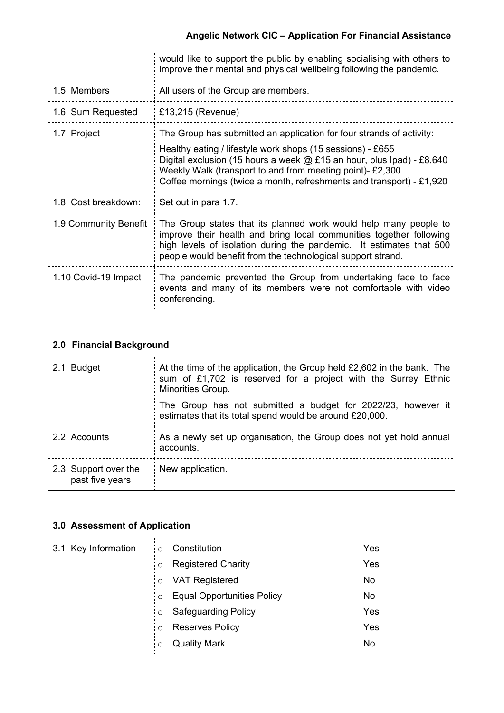|                       | would like to support the public by enabling socialising with others to<br>improve their mental and physical wellbeing following the pandemic.                                                                                                                                                                                                     |  |
|-----------------------|----------------------------------------------------------------------------------------------------------------------------------------------------------------------------------------------------------------------------------------------------------------------------------------------------------------------------------------------------|--|
| 1.5 Members           | All users of the Group are members.                                                                                                                                                                                                                                                                                                                |  |
| 1.6 Sum Requested     | £13,215 (Revenue)                                                                                                                                                                                                                                                                                                                                  |  |
| 1.7 Project           | The Group has submitted an application for four strands of activity:<br>Healthy eating / lifestyle work shops (15 sessions) - £655<br>Digital exclusion (15 hours a week $@$ £15 an hour, plus Ipad) - £8,640<br>Weekly Walk (transport to and from meeting point)- £2,300<br>Coffee mornings (twice a month, refreshments and transport) - £1,920 |  |
| 1.8 Cost breakdown:   | Set out in para 1.7.                                                                                                                                                                                                                                                                                                                               |  |
| 1.9 Community Benefit | The Group states that its planned work would help many people to<br>improve their health and bring local communities together following<br>high levels of isolation during the pandemic. It estimates that 500<br>people would benefit from the technological support strand.                                                                      |  |
| 1.10 Covid-19 Impact  | The pandemic prevented the Group from undertaking face to face<br>events and many of its members were not comfortable with video<br>conferencing.                                                                                                                                                                                                  |  |

| 2.0 Financial Background                |                                                                                                                                                               |  |  |  |
|-----------------------------------------|---------------------------------------------------------------------------------------------------------------------------------------------------------------|--|--|--|
| 2.1 Budget                              | At the time of the application, the Group held £2,602 in the bank. The<br>sum of £1,702 is reserved for a project with the Surrey Ethnic<br>Minorities Group. |  |  |  |
|                                         | The Group has not submitted a budget for 2022/23, however it<br>estimates that its total spend would be around £20,000.                                       |  |  |  |
| 2.2 Accounts                            | As a newly set up organisation, the Group does not yet hold annual<br>accounts.                                                                               |  |  |  |
| 2.3 Support over the<br>past five years | New application.                                                                                                                                              |  |  |  |

| 3.0 Assessment of Application |                                              |           |  |  |
|-------------------------------|----------------------------------------------|-----------|--|--|
| 3.1 Key Information           | Constitution<br>$\circ$                      | Yes       |  |  |
|                               | <b>Registered Charity</b><br>$\circ$         | Yes       |  |  |
|                               | <b>VAT Registered</b><br>$\circ$             | : No      |  |  |
|                               | <b>Equal Opportunities Policy</b><br>$\circ$ | <b>No</b> |  |  |
|                               | <b>Safeguarding Policy</b><br>$\circ$        | Yes       |  |  |
|                               | <b>Reserves Policy</b><br>$\circ$            | Yes       |  |  |
|                               | <b>Quality Mark</b><br>$\circ$               | : No      |  |  |